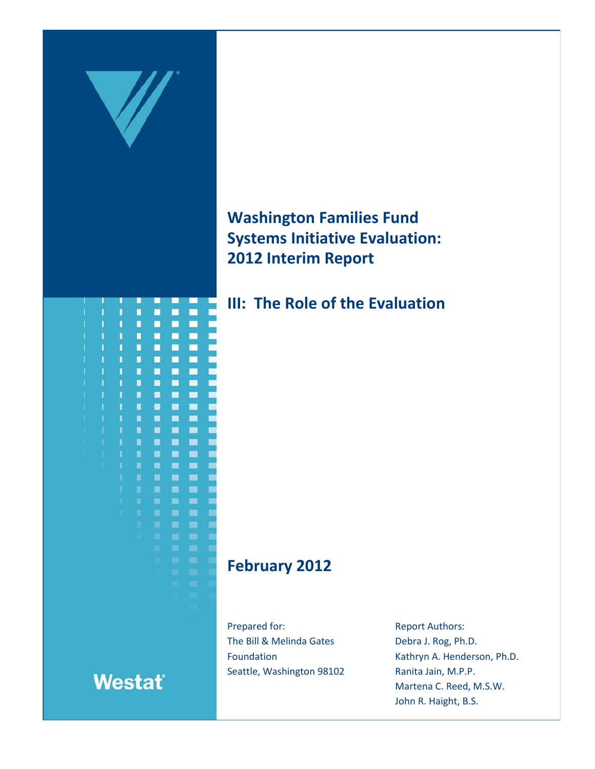

**Washington Families Fund Systems Initiative Evaluation: 2012 Interim Report**

**III: The Role of the Evaluation**

# **February 2012**

Prepared for: The Bill & Melinda Gates Foundation Seattle, Washington 98102 Report Authors: Debra J. Rog, Ph.D. Kathryn A. Henderson, Ph.D. Ranita Jain, M.P.P. Martena C. Reed, M.S.W. John R. Haight, B.S.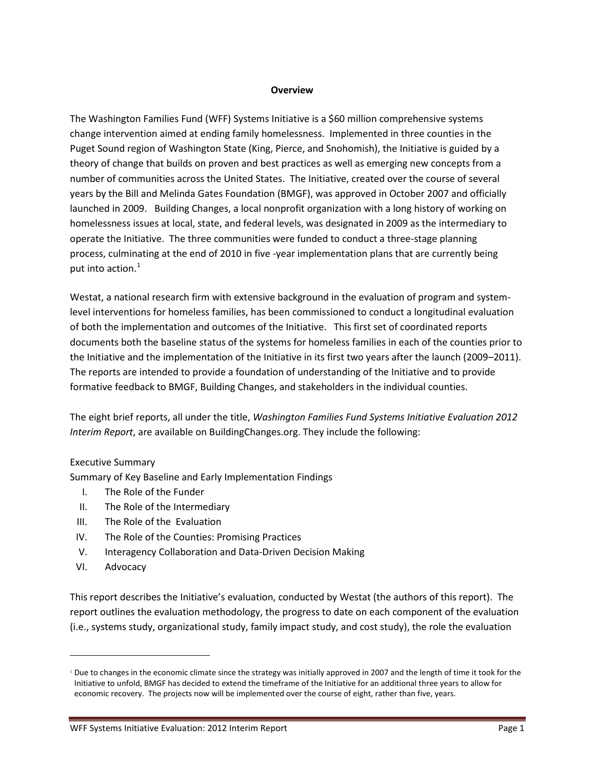## **Overview**

The Washington Families Fund (WFF) Systems Initiative is a \$60 million comprehensive systems change intervention aimed at ending family homelessness. Implemented in three counties in the Puget Sound region of Washington State (King, Pierce, and Snohomish), the Initiative is guided by a theory of change that builds on proven and best practices as well as emerging new concepts from a number of communities across the United States. The Initiative, created over the course of several years by the Bill and Melinda Gates Foundation (BMGF), was approved in October 2007 and officially launched in 2009. Building Changes, a local nonprofit organization with a long history of working on homelessness issues at local, state, and federal levels, was designated in 2009 as the intermediary to operate the Initiative. The three communities were funded to conduct a three-stage planning process, culminating at the end of 2010 in five -year implementation plans that are currently being put into action.<sup>[1](#page-1-0)</sup>

Westat, a national research firm with extensive background in the evaluation of program and systemlevel interventions for homeless families, has been commissioned to conduct a longitudinal evaluation of both the implementation and outcomes of the Initiative. This first set of coordinated reports documents both the baseline status of the systems for homeless families in each of the counties prior to the Initiative and the implementation of the Initiative in its first two years after the launch (2009–2011). The reports are intended to provide a foundation of understanding of the Initiative and to provide formative feedback to BMGF, Building Changes, and stakeholders in the individual counties.

The eight brief reports, all under the title, *Washington Families Fund Systems Initiative Evaluation 2012 Interim Report*, are available on BuildingChanges.org. They include the following:

## Executive Summary

Summary of Key Baseline and Early Implementation Findings

- I. The Role of the Funder
- II. The Role of the Intermediary
- III. The Role of the Evaluation
- IV. The Role of the Counties: Promising Practices
- V. Interagency Collaboration and Data-Driven Decision Making
- VI. Advocacy

 $\overline{a}$ 

This report describes the Initiative's evaluation, conducted by Westat (the authors of this report). The report outlines the evaluation methodology, the progress to date on each component of the evaluation (i.e., systems study, organizational study, family impact study, and cost study), the role the evaluation

<span id="page-1-0"></span><sup>&</sup>lt;sup>1</sup> Due to changes in the economic climate since the strategy was initially approved in 2007 and the length of time it took for the Initiative to unfold, BMGF has decided to extend the timeframe of the Initiative for an additional three years to allow for economic recovery. The projects now will be implemented over the course of eight, rather than five, years.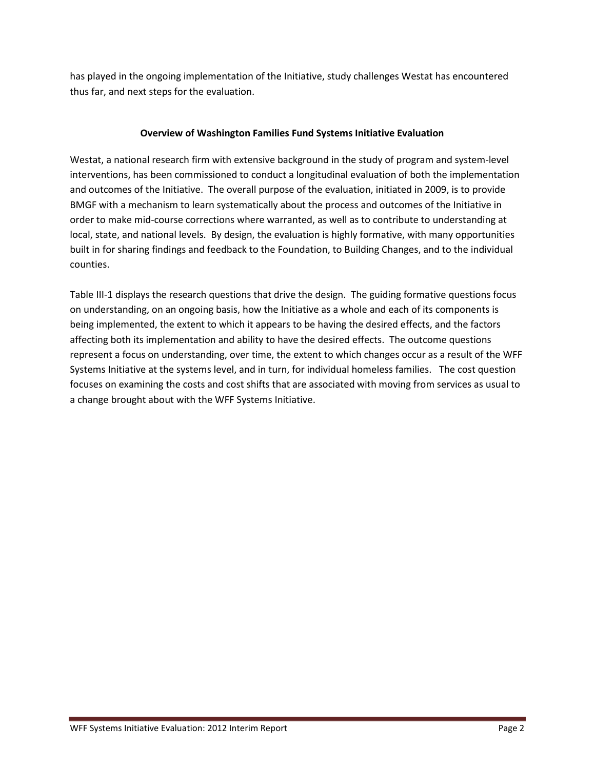has played in the ongoing implementation of the Initiative, study challenges Westat has encountered thus far, and next steps for the evaluation.

# **Overview of Washington Families Fund Systems Initiative Evaluation**

Westat, a national research firm with extensive background in the study of program and system-level interventions, has been commissioned to conduct a longitudinal evaluation of both the implementation and outcomes of the Initiative. The overall purpose of the evaluation, initiated in 2009, is to provide BMGF with a mechanism to learn systematically about the process and outcomes of the Initiative in order to make mid-course corrections where warranted, as well as to contribute to understanding at local, state, and national levels. By design, the evaluation is highly formative, with many opportunities built in for sharing findings and feedback to the Foundation, to Building Changes, and to the individual counties.

Table III-1 displays the research questions that drive the design. The guiding formative questions focus on understanding, on an ongoing basis, how the Initiative as a whole and each of its components is being implemented, the extent to which it appears to be having the desired effects, and the factors affecting both its implementation and ability to have the desired effects. The outcome questions represent a focus on understanding, over time, the extent to which changes occur as a result of the WFF Systems Initiative at the systems level, and in turn, for individual homeless families. The cost question focuses on examining the costs and cost shifts that are associated with moving from services as usual to a change brought about with the WFF Systems Initiative.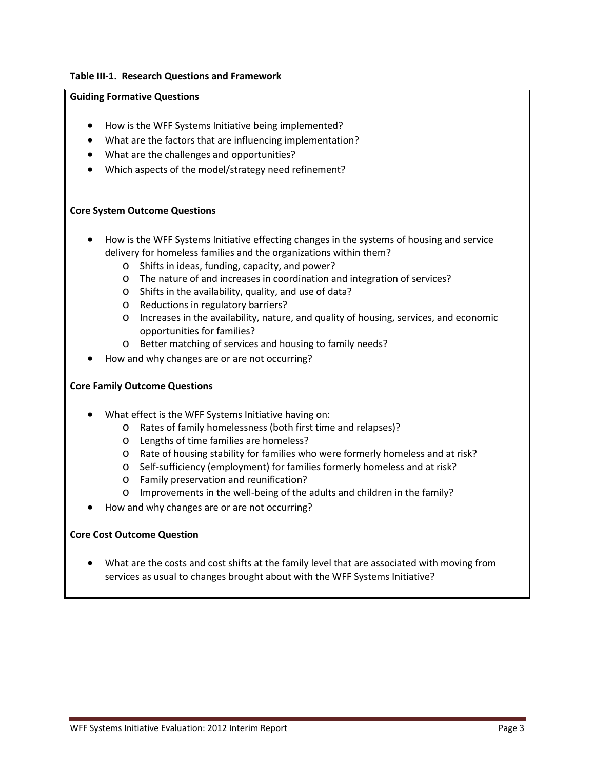## **Table III-1. Research Questions and Framework**

#### **Guiding Formative Questions**

- How is the WFF Systems Initiative being implemented?
- What are the factors that are influencing implementation?
- What are the challenges and opportunities?
- Which aspects of the model/strategy need refinement?

## **Core System Outcome Questions**

- How is the WFF Systems Initiative effecting changes in the systems of housing and service delivery for homeless families and the organizations within them?
	- o Shifts in ideas, funding, capacity, and power?
	- o The nature of and increases in coordination and integration of services?
	- o Shifts in the availability, quality, and use of data?
	- o Reductions in regulatory barriers?
	- o Increases in the availability, nature, and quality of housing, services, and economic opportunities for families?
	- o Better matching of services and housing to family needs?
- How and why changes are or are not occurring?

## **Core Family Outcome Questions**

- What effect is the WFF Systems Initiative having on:
	- o Rates of family homelessness (both first time and relapses)?
	- o Lengths of time families are homeless?
	- o Rate of housing stability for families who were formerly homeless and at risk?
	- o Self-sufficiency (employment) for families formerly homeless and at risk?
	- o Family preservation and reunification?
	- o Improvements in the well-being of the adults and children in the family?
- How and why changes are or are not occurring?

## **Core Cost Outcome Question**

• What are the costs and cost shifts at the family level that are associated with moving from services as usual to changes brought about with the WFF Systems Initiative?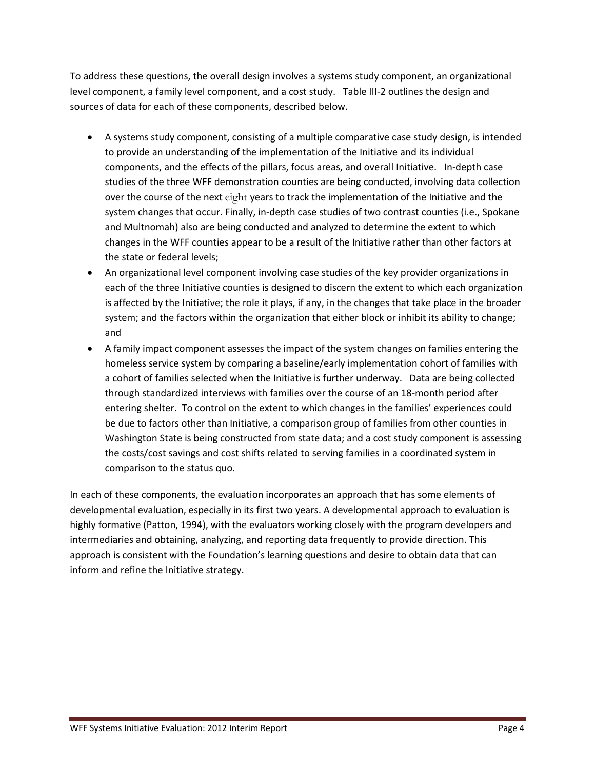To address these questions, the overall design involves a systems study component, an organizational level component, a family level component, and a cost study. Table III-2 outlines the design and sources of data for each of these components, described below.

- A systems study component, consisting of a multiple comparative case study design, is intended to provide an understanding of the implementation of the Initiative and its individual components, and the effects of the pillars, focus areas, and overall Initiative. In-depth case studies of the three WFF demonstration counties are being conducted, involving data collection over the course of the next eight years to track the implementation of the Initiative and the system changes that occur. Finally, in-depth case studies of two contrast counties (i.e., Spokane and Multnomah) also are being conducted and analyzed to determine the extent to which changes in the WFF counties appear to be a result of the Initiative rather than other factors at the state or federal levels;
- An organizational level component involving case studies of the key provider organizations in each of the three Initiative counties is designed to discern the extent to which each organization is affected by the Initiative; the role it plays, if any, in the changes that take place in the broader system; and the factors within the organization that either block or inhibit its ability to change; and
- A family impact component assesses the impact of the system changes on families entering the homeless service system by comparing a baseline/early implementation cohort of families with a cohort of families selected when the Initiative is further underway. Data are being collected through standardized interviews with families over the course of an 18-month period after entering shelter. To control on the extent to which changes in the families' experiences could be due to factors other than Initiative, a comparison group of families from other counties in Washington State is being constructed from state data; and a cost study component is assessing the costs/cost savings and cost shifts related to serving families in a coordinated system in comparison to the status quo.

In each of these components, the evaluation incorporates an approach that has some elements of developmental evaluation, especially in its first two years. A developmental approach to evaluation is highly formative (Patton, 1994), with the evaluators working closely with the program developers and intermediaries and obtaining, analyzing, and reporting data frequently to provide direction. This approach is consistent with the Foundation's learning questions and desire to obtain data that can inform and refine the Initiative strategy.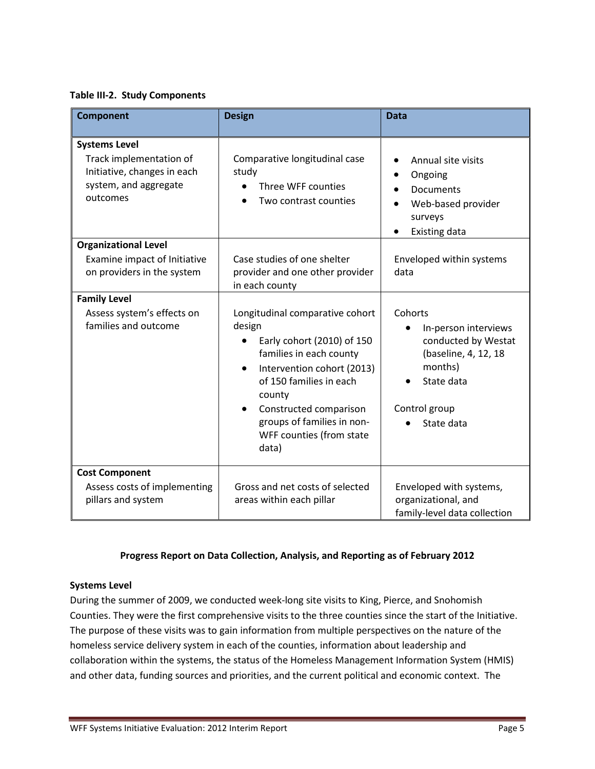**Table III-2. Study Components**

| <b>Component</b>                                                                                                    | <b>Design</b>                                                                                                                                                                                                                                                                   | <b>Data</b>                                                                                                                            |
|---------------------------------------------------------------------------------------------------------------------|---------------------------------------------------------------------------------------------------------------------------------------------------------------------------------------------------------------------------------------------------------------------------------|----------------------------------------------------------------------------------------------------------------------------------------|
| <b>Systems Level</b><br>Track implementation of<br>Initiative, changes in each<br>system, and aggregate<br>outcomes | Comparative longitudinal case<br>study<br>Three WFF counties<br>Two contrast counties                                                                                                                                                                                           | Annual site visits<br>Ongoing<br>$\bullet$<br><b>Documents</b><br>Web-based provider<br>surveys<br><b>Existing data</b>                |
| <b>Organizational Level</b><br>Examine impact of Initiative<br>on providers in the system                           | Case studies of one shelter<br>provider and one other provider<br>in each county                                                                                                                                                                                                | Enveloped within systems<br>data                                                                                                       |
| <b>Family Level</b><br>Assess system's effects on<br>families and outcome                                           | Longitudinal comparative cohort<br>design<br>Early cohort (2010) of 150<br>families in each county<br>Intervention cohort (2013)<br>$\bullet$<br>of 150 families in each<br>county<br>Constructed comparison<br>groups of families in non-<br>WFF counties (from state<br>data) | Cohorts<br>In-person interviews<br>conducted by Westat<br>(baseline, 4, 12, 18<br>months)<br>State data<br>Control group<br>State data |
| <b>Cost Component</b><br>Assess costs of implementing<br>pillars and system                                         | Gross and net costs of selected<br>areas within each pillar                                                                                                                                                                                                                     | Enveloped with systems,<br>organizational, and<br>family-level data collection                                                         |

# **Progress Report on Data Collection, Analysis, and Reporting as of February 2012**

## **Systems Level**

During the summer of 2009, we conducted week-long site visits to King, Pierce, and Snohomish Counties. They were the first comprehensive visits to the three counties since the start of the Initiative. The purpose of these visits was to gain information from multiple perspectives on the nature of the homeless service delivery system in each of the counties, information about leadership and collaboration within the systems, the status of the Homeless Management Information System (HMIS) and other data, funding sources and priorities, and the current political and economic context. The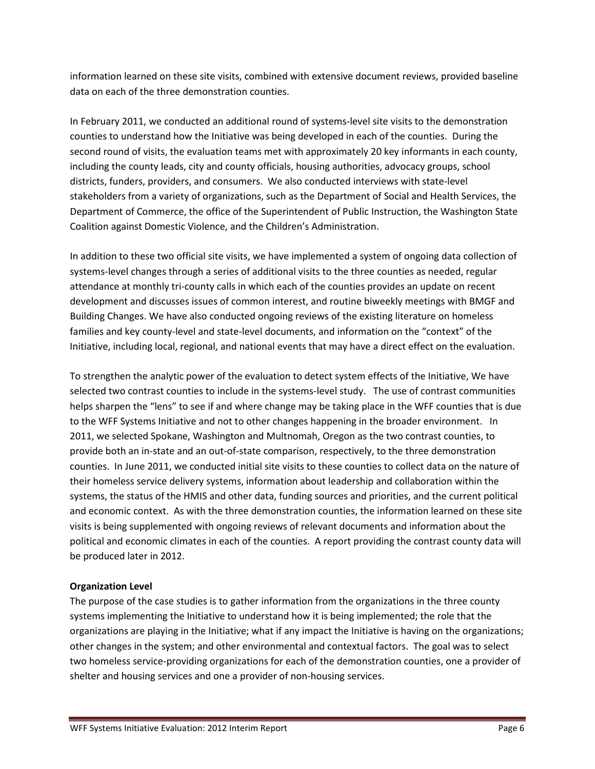information learned on these site visits, combined with extensive document reviews, provided baseline data on each of the three demonstration counties.

In February 2011, we conducted an additional round of systems-level site visits to the demonstration counties to understand how the Initiative was being developed in each of the counties. During the second round of visits, the evaluation teams met with approximately 20 key informants in each county, including the county leads, city and county officials, housing authorities, advocacy groups, school districts, funders, providers, and consumers. We also conducted interviews with state-level stakeholders from a variety of organizations, such as the Department of Social and Health Services, the Department of Commerce, the office of the Superintendent of Public Instruction, the Washington State Coalition against Domestic Violence, and the Children's Administration.

In addition to these two official site visits, we have implemented a system of ongoing data collection of systems-level changes through a series of additional visits to the three counties as needed, regular attendance at monthly tri-county calls in which each of the counties provides an update on recent development and discusses issues of common interest, and routine biweekly meetings with BMGF and Building Changes. We have also conducted ongoing reviews of the existing literature on homeless families and key county-level and state-level documents, and information on the "context" of the Initiative, including local, regional, and national events that may have a direct effect on the evaluation.

To strengthen the analytic power of the evaluation to detect system effects of the Initiative, We have selected two contrast counties to include in the systems-level study. The use of contrast communities helps sharpen the "lens" to see if and where change may be taking place in the WFF counties that is due to the WFF Systems Initiative and not to other changes happening in the broader environment. In 2011, we selected Spokane, Washington and Multnomah, Oregon as the two contrast counties, to provide both an in-state and an out-of-state comparison, respectively, to the three demonstration counties. In June 2011, we conducted initial site visits to these counties to collect data on the nature of their homeless service delivery systems, information about leadership and collaboration within the systems, the status of the HMIS and other data, funding sources and priorities, and the current political and economic context. As with the three demonstration counties, the information learned on these site visits is being supplemented with ongoing reviews of relevant documents and information about the political and economic climates in each of the counties. A report providing the contrast county data will be produced later in 2012.

## **Organization Level**

The purpose of the case studies is to gather information from the organizations in the three county systems implementing the Initiative to understand how it is being implemented; the role that the organizations are playing in the Initiative; what if any impact the Initiative is having on the organizations; other changes in the system; and other environmental and contextual factors. The goal was to select two homeless service-providing organizations for each of the demonstration counties, one a provider of shelter and housing services and one a provider of non-housing services.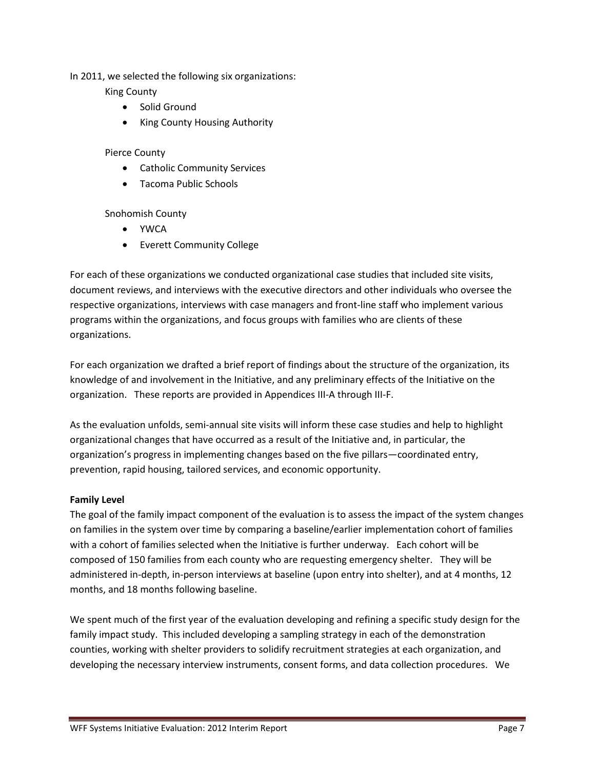In 2011, we selected the following six organizations:

King County

- Solid Ground
- King County Housing Authority

## Pierce County

- Catholic Community Services
- Tacoma Public Schools

Snohomish County

- YWCA
- Everett Community College

For each of these organizations we conducted organizational case studies that included site visits, document reviews, and interviews with the executive directors and other individuals who oversee the respective organizations, interviews with case managers and front-line staff who implement various programs within the organizations, and focus groups with families who are clients of these organizations.

For each organization we drafted a brief report of findings about the structure of the organization, its knowledge of and involvement in the Initiative, and any preliminary effects of the Initiative on the organization. These reports are provided in Appendices III-A through III-F.

As the evaluation unfolds, semi-annual site visits will inform these case studies and help to highlight organizational changes that have occurred as a result of the Initiative and, in particular, the organization's progress in implementing changes based on the five pillars—coordinated entry, prevention, rapid housing, tailored services, and economic opportunity.

## **Family Level**

The goal of the family impact component of the evaluation is to assess the impact of the system changes on families in the system over time by comparing a baseline/earlier implementation cohort of families with a cohort of families selected when the Initiative is further underway. Each cohort will be composed of 150 families from each county who are requesting emergency shelter. They will be administered in-depth, in-person interviews at baseline (upon entry into shelter), and at 4 months, 12 months, and 18 months following baseline.

We spent much of the first year of the evaluation developing and refining a specific study design for the family impact study. This included developing a sampling strategy in each of the demonstration counties, working with shelter providers to solidify recruitment strategies at each organization, and developing the necessary interview instruments, consent forms, and data collection procedures. We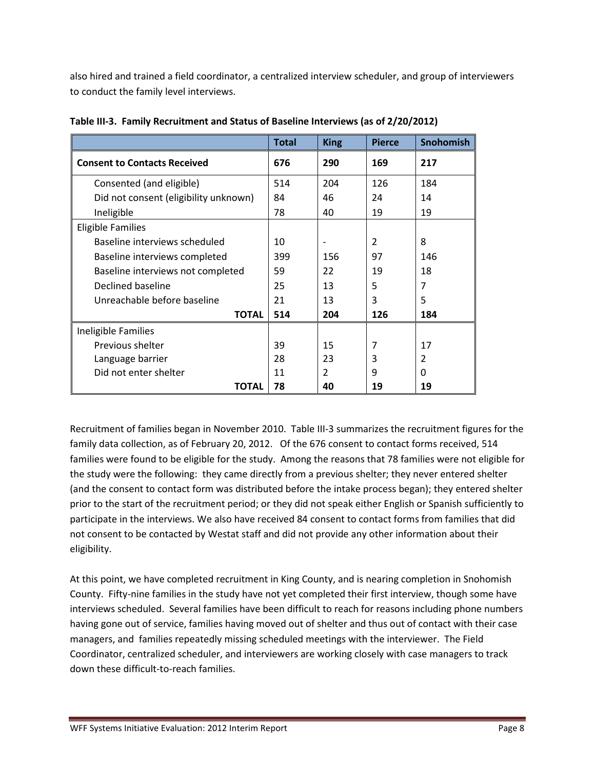also hired and trained a field coordinator, a centralized interview scheduler, and group of interviewers to conduct the family level interviews.

|                                       | Total | <b>King</b>    | <b>Pierce</b> | Snohomish      |
|---------------------------------------|-------|----------------|---------------|----------------|
| <b>Consent to Contacts Received</b>   | 676   | 290            | 169           | 217            |
| Consented (and eligible)              | 514   | 204            | 126           | 184            |
| Did not consent (eligibility unknown) | 84    | 46             | 24            | 14             |
| Ineligible                            | 78    | 40             | 19            | 19             |
| <b>Eligible Families</b>              |       |                |               |                |
| Baseline interviews scheduled         | 10    |                | 2             | 8              |
| Baseline interviews completed         | 399   | 156            | 97            | 146            |
| Baseline interviews not completed     | 59    | 22             | 19            | 18             |
| Declined baseline                     | 25    | 13             | 5             | $\overline{7}$ |
| Unreachable before baseline           | 21    | 13             | 3             | 5              |
| <b>TOTAL</b>                          | 514   | 204            | 126           | 184            |
| Ineligible Families                   |       |                |               |                |
| Previous shelter                      | 39    | 15             | 7             | 17             |
| Language barrier                      | 28    | 23             | 3             | $\overline{2}$ |
| Did not enter shelter                 | 11    | $\overline{2}$ | 9             | $\Omega$       |
| <b>TOTAL</b>                          | 78    | 40             | 19            | 19             |

**Table III-3. Family Recruitment and Status of Baseline Interviews (as of 2/20/2012)**

Recruitment of families began in November 2010. Table III-3 summarizes the recruitment figures for the family data collection, as of February 20, 2012. Of the 676 consent to contact forms received, 514 families were found to be eligible for the study. Among the reasons that 78 families were not eligible for the study were the following: they came directly from a previous shelter; they never entered shelter (and the consent to contact form was distributed before the intake process began); they entered shelter prior to the start of the recruitment period; or they did not speak either English or Spanish sufficiently to participate in the interviews. We also have received 84 consent to contact forms from families that did not consent to be contacted by Westat staff and did not provide any other information about their eligibility.

At this point, we have completed recruitment in King County, and is nearing completion in Snohomish County. Fifty-nine families in the study have not yet completed their first interview, though some have interviews scheduled. Several families have been difficult to reach for reasons including phone numbers having gone out of service, families having moved out of shelter and thus out of contact with their case managers, and families repeatedly missing scheduled meetings with the interviewer. The Field Coordinator, centralized scheduler, and interviewers are working closely with case managers to track down these difficult-to-reach families.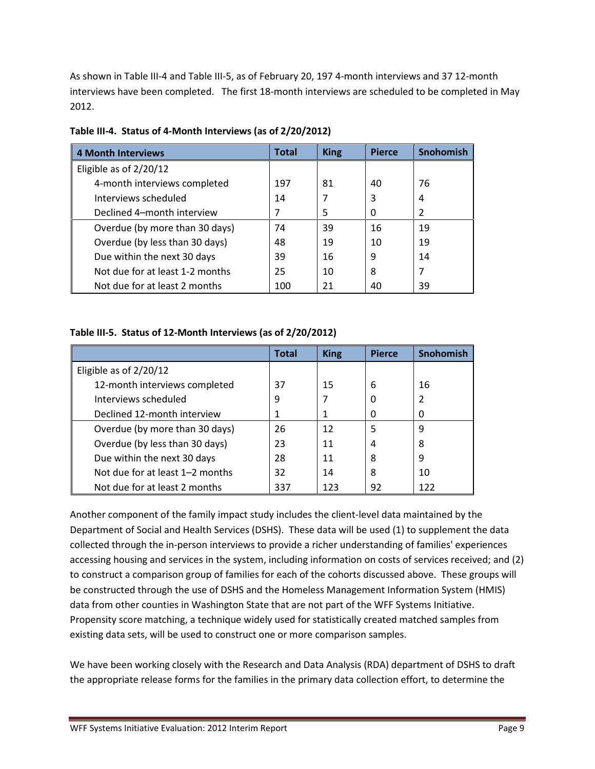As shown in Table III-4 and Table III-5, as of February 20, 197 4-month interviews and 37 12-month interviews have been completed. The first 18-month interviews are scheduled to be completed in May 2012.

| <b>4 Month Interviews</b>       | Total | <b>King</b> | <b>Pierce</b> | Snohomish      |
|---------------------------------|-------|-------------|---------------|----------------|
| Eligible as of $2/20/12$        |       |             |               |                |
| 4-month interviews completed    | 197   | 81          | 40            | 76             |
| Interviews scheduled            | 14    |             | 3             | 4              |
| Declined 4-month interview      | 7     | 5           | 0             | $\overline{2}$ |
| Overdue (by more than 30 days)  | 74    | 39          | 16            | 19             |
| Overdue (by less than 30 days)  | 48    | 19          | 10            | 19             |
| Due within the next 30 days     | 39    | 16          | 9             | 14             |
| Not due for at least 1-2 months | 25    | 10          | 8             | 7              |
| Not due for at least 2 months   | 100   | 21          | 40            | 39             |

**Table III-4. Status of 4-Month Interviews (as of 2/20/2012)**

# **Table III-5. Status of 12-Month Interviews (as of 2/20/2012)**

|                                 | <b>Total</b> | <b>King</b> | <b>Pierce</b> | <b>Snohomish</b> |
|---------------------------------|--------------|-------------|---------------|------------------|
| Eligible as of $2/20/12$        |              |             |               |                  |
| 12-month interviews completed   | 37           | 15          | 6             | 16               |
| Interviews scheduled            | 9            |             | 0             |                  |
| Declined 12-month interview     | 1            |             | 0             | 0                |
| Overdue (by more than 30 days)  | 26           | 12          | 5             | 9                |
| Overdue (by less than 30 days)  | 23           | 11          | 4             | 8                |
| Due within the next 30 days     | 28           | 11          | 8             | 9                |
| Not due for at least 1-2 months | 32           | 14          | 8             | 10               |
| Not due for at least 2 months   | 337          | 123         | 92            | 122              |

Another component of the family impact study includes the client-level data maintained by the Department of Social and Health Services (DSHS). These data will be used (1) to supplement the data collected through the in-person interviews to provide a richer understanding of families' experiences accessing housing and services in the system, including information on costs of services received; and (2) to construct a comparison group of families for each of the cohorts discussed above. These groups will be constructed through the use of DSHS and the Homeless Management Information System (HMIS) data from other counties in Washington State that are not part of the WFF Systems Initiative. Propensity score matching, a technique widely used for statistically created matched samples from existing data sets, will be used to construct one or more comparison samples.

We have been working closely with the Research and Data Analysis (RDA) department of DSHS to draft the appropriate release forms for the families in the primary data collection effort, to determine the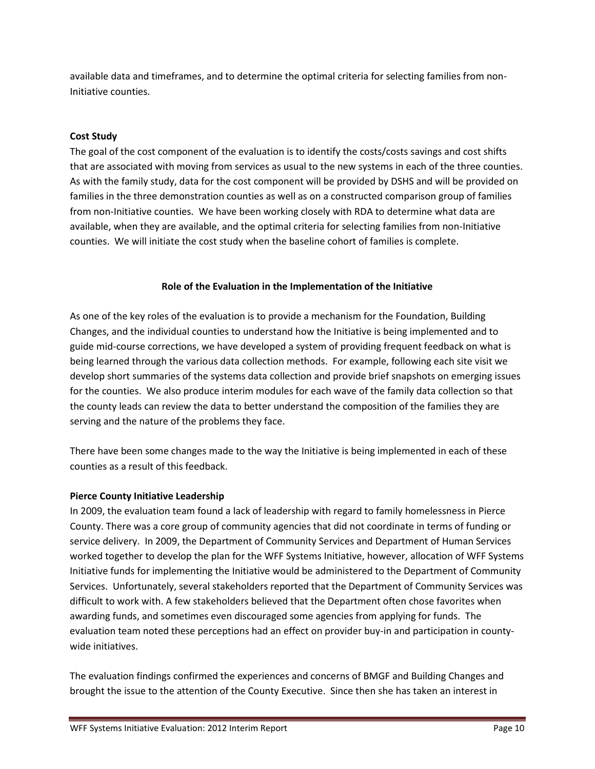available data and timeframes, and to determine the optimal criteria for selecting families from non-Initiative counties.

# **Cost Study**

The goal of the cost component of the evaluation is to identify the costs/costs savings and cost shifts that are associated with moving from services as usual to the new systems in each of the three counties. As with the family study, data for the cost component will be provided by DSHS and will be provided on families in the three demonstration counties as well as on a constructed comparison group of families from non-Initiative counties. We have been working closely with RDA to determine what data are available, when they are available, and the optimal criteria for selecting families from non-Initiative counties. We will initiate the cost study when the baseline cohort of families is complete.

## **Role of the Evaluation in the Implementation of the Initiative**

As one of the key roles of the evaluation is to provide a mechanism for the Foundation, Building Changes, and the individual counties to understand how the Initiative is being implemented and to guide mid-course corrections, we have developed a system of providing frequent feedback on what is being learned through the various data collection methods. For example, following each site visit we develop short summaries of the systems data collection and provide brief snapshots on emerging issues for the counties. We also produce interim modules for each wave of the family data collection so that the county leads can review the data to better understand the composition of the families they are serving and the nature of the problems they face.

There have been some changes made to the way the Initiative is being implemented in each of these counties as a result of this feedback.

## **Pierce County Initiative Leadership**

In 2009, the evaluation team found a lack of leadership with regard to family homelessness in Pierce County. There was a core group of community agencies that did not coordinate in terms of funding or service delivery. In 2009, the Department of Community Services and Department of Human Services worked together to develop the plan for the WFF Systems Initiative, however, allocation of WFF Systems Initiative funds for implementing the Initiative would be administered to the Department of Community Services. Unfortunately, several stakeholders reported that the Department of Community Services was difficult to work with. A few stakeholders believed that the Department often chose favorites when awarding funds, and sometimes even discouraged some agencies from applying for funds. The evaluation team noted these perceptions had an effect on provider buy-in and participation in countywide initiatives.

The evaluation findings confirmed the experiences and concerns of BMGF and Building Changes and brought the issue to the attention of the County Executive. Since then she has taken an interest in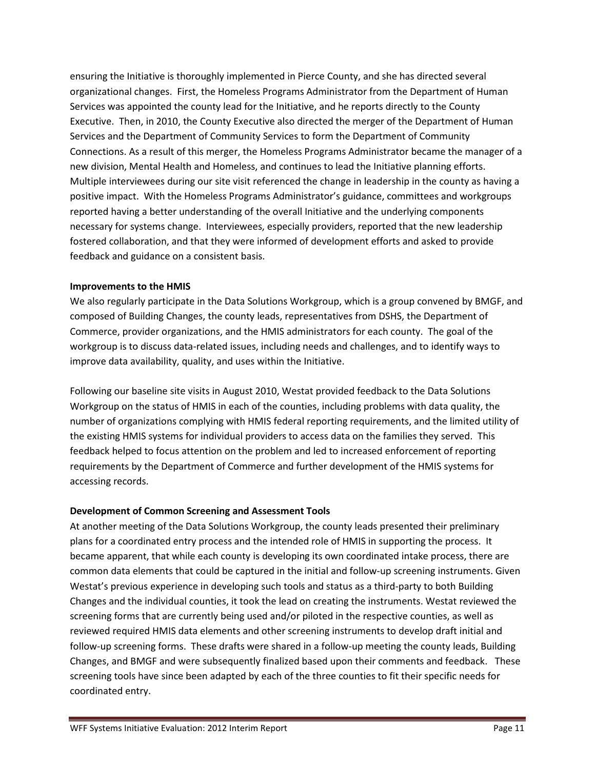ensuring the Initiative is thoroughly implemented in Pierce County, and she has directed several organizational changes. First, the Homeless Programs Administrator from the Department of Human Services was appointed the county lead for the Initiative, and he reports directly to the County Executive. Then, in 2010, the County Executive also directed the merger of the Department of Human Services and the Department of Community Services to form the Department of Community Connections. As a result of this merger, the Homeless Programs Administrator became the manager of a new division, Mental Health and Homeless, and continues to lead the Initiative planning efforts. Multiple interviewees during our site visit referenced the change in leadership in the county as having a positive impact. With the Homeless Programs Administrator's guidance, committees and workgroups reported having a better understanding of the overall Initiative and the underlying components necessary for systems change. Interviewees, especially providers, reported that the new leadership fostered collaboration, and that they were informed of development efforts and asked to provide feedback and guidance on a consistent basis.

## **Improvements to the HMIS**

We also regularly participate in the Data Solutions Workgroup, which is a group convened by BMGF, and composed of Building Changes, the county leads, representatives from DSHS, the Department of Commerce, provider organizations, and the HMIS administrators for each county. The goal of the workgroup is to discuss data-related issues, including needs and challenges, and to identify ways to improve data availability, quality, and uses within the Initiative.

Following our baseline site visits in August 2010, Westat provided feedback to the Data Solutions Workgroup on the status of HMIS in each of the counties, including problems with data quality, the number of organizations complying with HMIS federal reporting requirements, and the limited utility of the existing HMIS systems for individual providers to access data on the families they served. This feedback helped to focus attention on the problem and led to increased enforcement of reporting requirements by the Department of Commerce and further development of the HMIS systems for accessing records.

# **Development of Common Screening and Assessment Tools**

At another meeting of the Data Solutions Workgroup, the county leads presented their preliminary plans for a coordinated entry process and the intended role of HMIS in supporting the process. It became apparent, that while each county is developing its own coordinated intake process, there are common data elements that could be captured in the initial and follow-up screening instruments. Given Westat's previous experience in developing such tools and status as a third-party to both Building Changes and the individual counties, it took the lead on creating the instruments. Westat reviewed the screening forms that are currently being used and/or piloted in the respective counties, as well as reviewed required HMIS data elements and other screening instruments to develop draft initial and follow-up screening forms. These drafts were shared in a follow-up meeting the county leads, Building Changes, and BMGF and were subsequently finalized based upon their comments and feedback. These screening tools have since been adapted by each of the three counties to fit their specific needs for coordinated entry.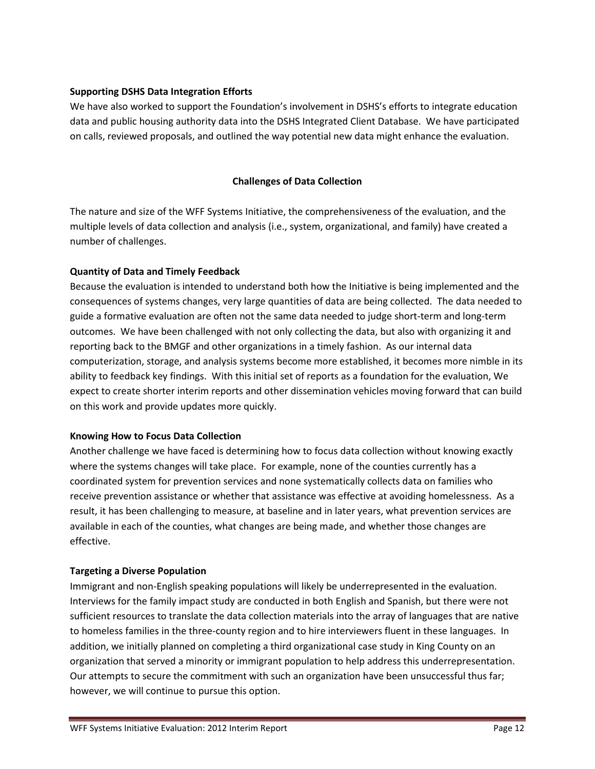# **Supporting DSHS Data Integration Efforts**

We have also worked to support the Foundation's involvement in DSHS's efforts to integrate education data and public housing authority data into the DSHS Integrated Client Database. We have participated on calls, reviewed proposals, and outlined the way potential new data might enhance the evaluation.

# **Challenges of Data Collection**

The nature and size of the WFF Systems Initiative, the comprehensiveness of the evaluation, and the multiple levels of data collection and analysis (i.e., system, organizational, and family) have created a number of challenges.

## **Quantity of Data and Timely Feedback**

Because the evaluation is intended to understand both how the Initiative is being implemented and the consequences of systems changes, very large quantities of data are being collected. The data needed to guide a formative evaluation are often not the same data needed to judge short-term and long-term outcomes. We have been challenged with not only collecting the data, but also with organizing it and reporting back to the BMGF and other organizations in a timely fashion. As our internal data computerization, storage, and analysis systems become more established, it becomes more nimble in its ability to feedback key findings. With this initial set of reports as a foundation for the evaluation, We expect to create shorter interim reports and other dissemination vehicles moving forward that can build on this work and provide updates more quickly.

## **Knowing How to Focus Data Collection**

Another challenge we have faced is determining how to focus data collection without knowing exactly where the systems changes will take place. For example, none of the counties currently has a coordinated system for prevention services and none systematically collects data on families who receive prevention assistance or whether that assistance was effective at avoiding homelessness. As a result, it has been challenging to measure, at baseline and in later years, what prevention services are available in each of the counties, what changes are being made, and whether those changes are effective.

# **Targeting a Diverse Population**

Immigrant and non-English speaking populations will likely be underrepresented in the evaluation. Interviews for the family impact study are conducted in both English and Spanish, but there were not sufficient resources to translate the data collection materials into the array of languages that are native to homeless families in the three-county region and to hire interviewers fluent in these languages. In addition, we initially planned on completing a third organizational case study in King County on an organization that served a minority or immigrant population to help address this underrepresentation. Our attempts to secure the commitment with such an organization have been unsuccessful thus far; however, we will continue to pursue this option.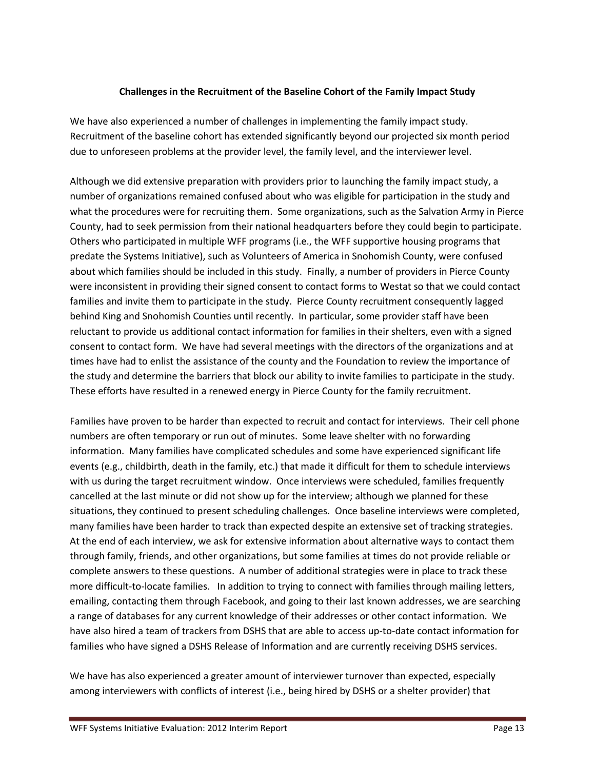# **Challenges in the Recruitment of the Baseline Cohort of the Family Impact Study**

We have also experienced a number of challenges in implementing the family impact study. Recruitment of the baseline cohort has extended significantly beyond our projected six month period due to unforeseen problems at the provider level, the family level, and the interviewer level.

Although we did extensive preparation with providers prior to launching the family impact study, a number of organizations remained confused about who was eligible for participation in the study and what the procedures were for recruiting them. Some organizations, such as the Salvation Army in Pierce County, had to seek permission from their national headquarters before they could begin to participate. Others who participated in multiple WFF programs (i.e., the WFF supportive housing programs that predate the Systems Initiative), such as Volunteers of America in Snohomish County, were confused about which families should be included in this study. Finally, a number of providers in Pierce County were inconsistent in providing their signed consent to contact forms to Westat so that we could contact families and invite them to participate in the study. Pierce County recruitment consequently lagged behind King and Snohomish Counties until recently. In particular, some provider staff have been reluctant to provide us additional contact information for families in their shelters, even with a signed consent to contact form. We have had several meetings with the directors of the organizations and at times have had to enlist the assistance of the county and the Foundation to review the importance of the study and determine the barriers that block our ability to invite families to participate in the study. These efforts have resulted in a renewed energy in Pierce County for the family recruitment.

Families have proven to be harder than expected to recruit and contact for interviews. Their cell phone numbers are often temporary or run out of minutes. Some leave shelter with no forwarding information. Many families have complicated schedules and some have experienced significant life events (e.g., childbirth, death in the family, etc.) that made it difficult for them to schedule interviews with us during the target recruitment window. Once interviews were scheduled, families frequently cancelled at the last minute or did not show up for the interview; although we planned for these situations, they continued to present scheduling challenges. Once baseline interviews were completed, many families have been harder to track than expected despite an extensive set of tracking strategies. At the end of each interview, we ask for extensive information about alternative ways to contact them through family, friends, and other organizations, but some families at times do not provide reliable or complete answers to these questions. A number of additional strategies were in place to track these more difficult-to-locate families. In addition to trying to connect with families through mailing letters, emailing, contacting them through Facebook, and going to their last known addresses, we are searching a range of databases for any current knowledge of their addresses or other contact information. We have also hired a team of trackers from DSHS that are able to access up-to-date contact information for families who have signed a DSHS Release of Information and are currently receiving DSHS services.

We have has also experienced a greater amount of interviewer turnover than expected, especially among interviewers with conflicts of interest (i.e., being hired by DSHS or a shelter provider) that